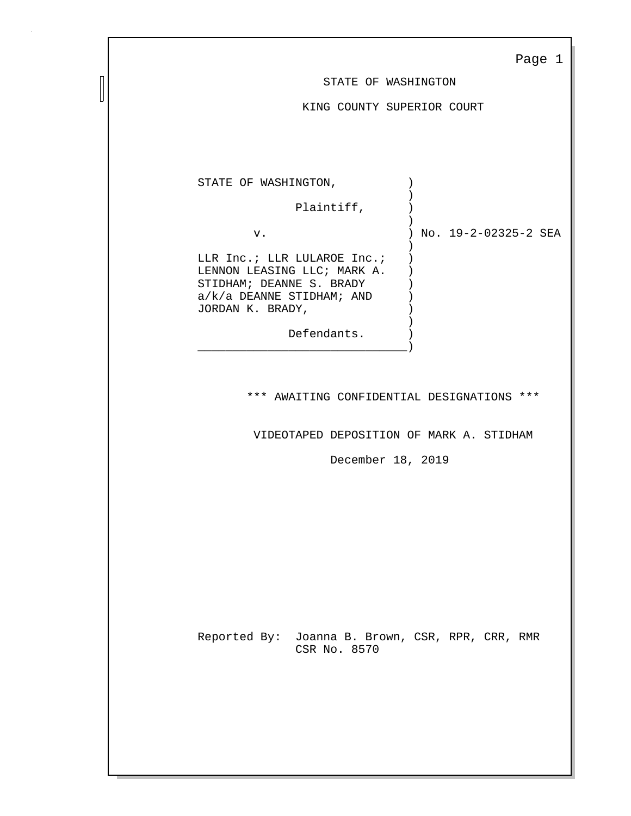|--|--|

STATE OF WASHINGTON

KING COUNTY SUPERIOR COURT

|  | No. 19-2-02325-2 SEA |  |
|--|----------------------|--|
|  |                      |  |
|  |                      |  |
|  |                      |  |

\*\*\* AWAITING CONFIDENTIAL DESIGNATIONS \*\*\*

VIDEOTAPED DEPOSITION OF MARK A. STIDHAM

December 18, 2019

Reported By: Joanna B. Brown, CSR, RPR, CRR, RMR CSR No. 8570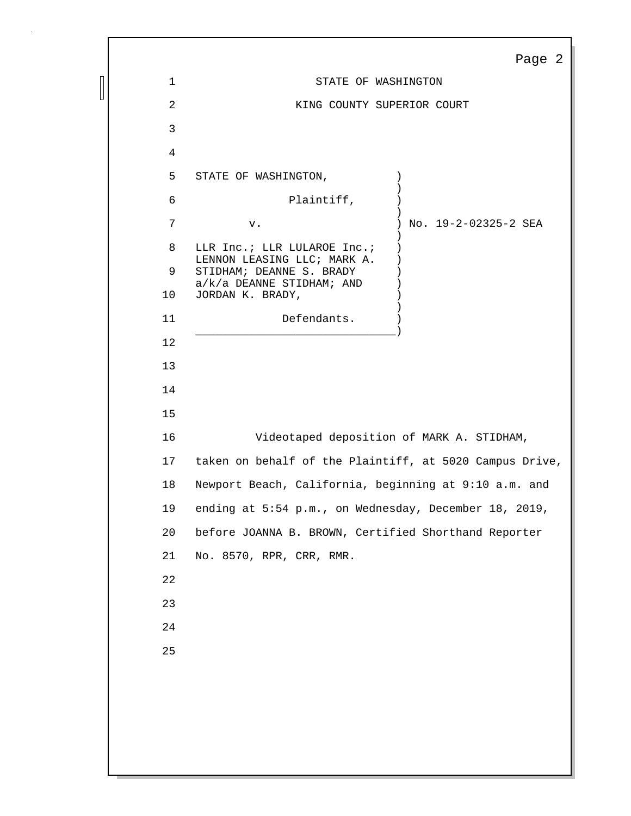|             |                                                            | Page 2               |
|-------------|------------------------------------------------------------|----------------------|
| $\mathbf 1$ | STATE OF WASHINGTON                                        |                      |
| 2           | KING COUNTY SUPERIOR COURT                                 |                      |
| 3           |                                                            |                      |
| 4           |                                                            |                      |
| 5           | STATE OF WASHINGTON,                                       | $\left( \right)$     |
| 6           | Plaintiff,                                                 |                      |
| 7           | ${\bf v}$ .                                                | No. 19-2-02325-2 SEA |
| 8           | LLR Inc.; LLR LULAROE Inc.;<br>LENNON LEASING LLC; MARK A. | $\lambda$            |
| 9           | STIDHAM; DEANNE S. BRADY<br>$a/k/a$ DEANNE STIDHAM; AND    |                      |
| 10          | JORDAN K. BRADY,                                           |                      |
| 11          | Defendants.                                                |                      |
| 12          |                                                            |                      |
| 13          |                                                            |                      |
| 14          |                                                            |                      |
| 15          |                                                            |                      |
| 16          | Videotaped deposition of MARK A. STIDHAM,                  |                      |
| 17          | taken on behalf of the Plaintiff, at 5020 Campus Drive,    |                      |
| 18          | Newport Beach, California, beginning at 9:10 a.m. and      |                      |
| 19          | ending at 5:54 p.m., on Wednesday, December 18, 2019,      |                      |
| 20          | before JOANNA B. BROWN, Certified Shorthand Reporter       |                      |
| 21          | No. 8570, RPR, CRR, RMR.                                   |                      |
| 22          |                                                            |                      |
| 23          |                                                            |                      |
| 24          |                                                            |                      |
| 25          |                                                            |                      |
|             |                                                            |                      |
|             |                                                            |                      |
|             |                                                            |                      |
|             |                                                            |                      |
|             |                                                            |                      |

 $\begin{array}{c} \hline \end{array}$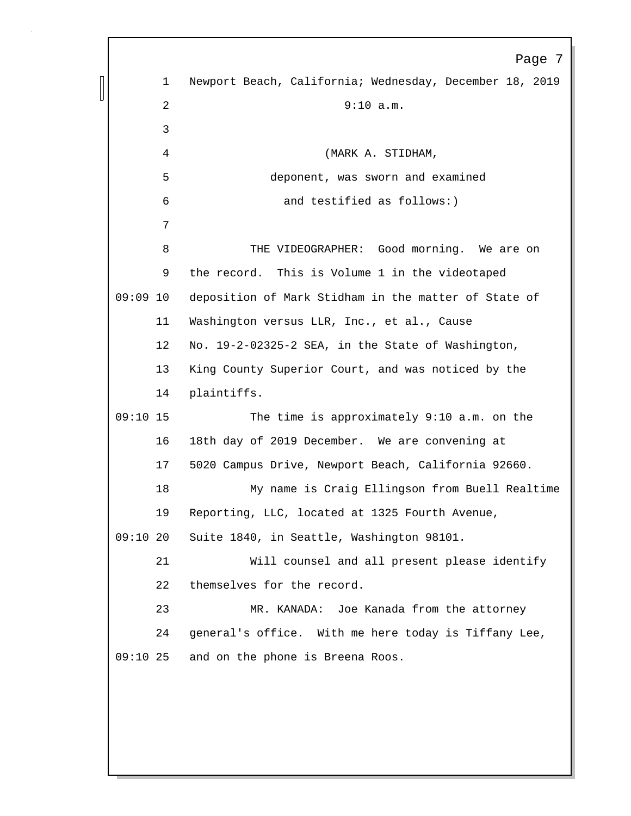Page 7 1 Newport Beach, California; Wednesday, December 18, 2019 2 9:10 a.m. 3 4 (MARK A. STIDHAM, 5 deponent, was sworn and examined 6 and testified as follows:) 7 8 THE VIDEOGRAPHER: Good morning. We are on 9 the record. This is Volume 1 in the videotaped 09:09 10 deposition of Mark Stidham in the matter of State of 11 Washington versus LLR, Inc., et al., Cause 12 No. 19-2-02325-2 SEA, in the State of Washington, 13 King County Superior Court, and was noticed by the 14 plaintiffs. 09:10 15 The time is approximately 9:10 a.m. on the 16 18th day of 2019 December. We are convening at 17 5020 Campus Drive, Newport Beach, California 92660. 18 My name is Craig Ellingson from Buell Realtime 19 Reporting, LLC, located at 1325 Fourth Avenue, 09:10 20 Suite 1840, in Seattle, Washington 98101. 21 Will counsel and all present please identify 22 themselves for the record. 23 MR. KANADA: Joe Kanada from the attorney 24 general's office. With me here today is Tiffany Lee, 09:10 25 and on the phone is Breena Roos.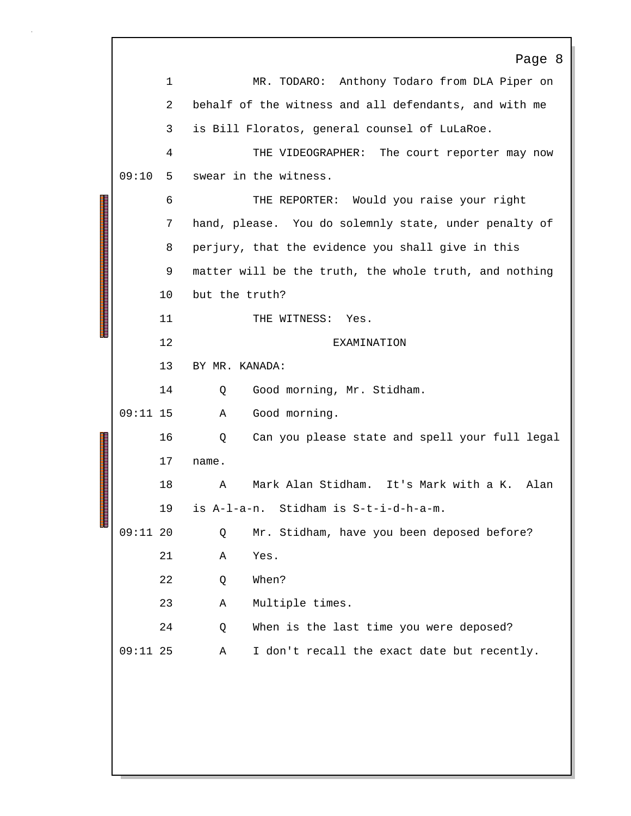|       |             | Page 8                                                 |
|-------|-------------|--------------------------------------------------------|
|       | $\mathbf 1$ | Anthony Todaro from DLA Piper on<br>MR. TODARO:        |
|       | 2           | behalf of the witness and all defendants, and with me  |
|       | 3           | is Bill Floratos, general counsel of LuLaRoe.          |
|       | 4           | THE VIDEOGRAPHER: The court reporter may now           |
| 09:10 | 5           | swear in the witness.                                  |
|       | 6           | THE REPORTER: Would you raise your right               |
|       | 7           | hand, please. You do solemnly state, under penalty of  |
|       | 8           | perjury, that the evidence you shall give in this      |
|       | 9           | matter will be the truth, the whole truth, and nothing |
|       | 10          | but the truth?                                         |
|       | 11          | THE WITNESS: Yes.                                      |
|       | 12          | EXAMINATION                                            |
|       | 13          | BY MR. KANADA:                                         |
|       | 14          | Good morning, Mr. Stidham.<br>Q                        |
|       |             | Good morning.<br>Α                                     |
|       | 16          | Can you please state and spell your full legal<br>Q    |
|       | 17          | name.                                                  |
|       | 18          | Mark Alan Stidham. It's Mark with a K.<br>Alan<br>Α    |
|       | 19          | is A-1-a-n. Stidham is S-t-i-d-h-a-m.                  |
|       |             | Mr. Stidham, have you been deposed before?<br>Q        |
|       | 21          | Yes.<br>Α                                              |
|       | 22          | When?<br>Q                                             |
|       | 23          | Multiple times.<br>Α                                   |
|       | 24          | When is the last time you were deposed?<br>Q           |
|       |             | I don't recall the exact date but recently.<br>Α       |
|       |             |                                                        |
|       |             |                                                        |
|       |             |                                                        |
|       |             |                                                        |
|       |             | $09:11$ 15<br>$09:11$ 20<br>$09:11$ 25                 |

 $\sqrt{ }$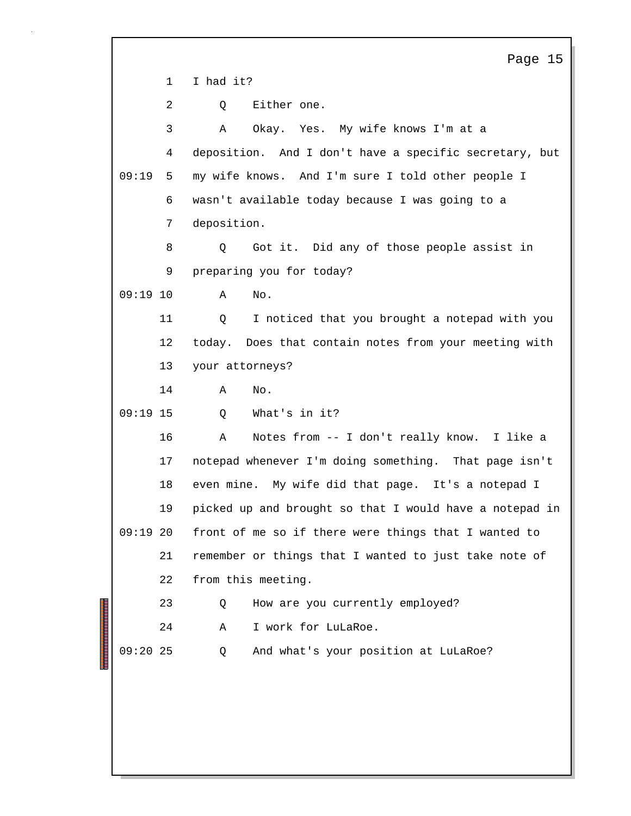Page 15 1 I had it? 2 Q Either one. 3 A Okay. Yes. My wife knows I'm at a 4 deposition. And I don't have a specific secretary, but 09:19 my wife knows. And I'm sure I told other people I 5 6 wasn't available today because I was going to a 7 deposition. 8 Q Got it. Did any of those people assist in 9 preparing you for today? 09:19 10 A No. 11 Q I noticed that you brought a notepad with you 12 today. Does that contain notes from your meeting with 13 your attorneys? 14 A No. 09:19 15 0 What's in it? 16 A Notes from -- I don't really know. I like a 17 notepad whenever I'm doing something. That page isn't 18 even mine. My wife did that page. It's a notepad I 19 picked up and brought so that I would have a notepad in  $09:19$  20 front of me so if there were things that I wanted to 21 remember or things that I wanted to just take note of 22 from this meeting. 23 Q How are you currently employed? 24 A I work for LuLaRoe. 09:20 25 Q And what's your position at LuLaRoe?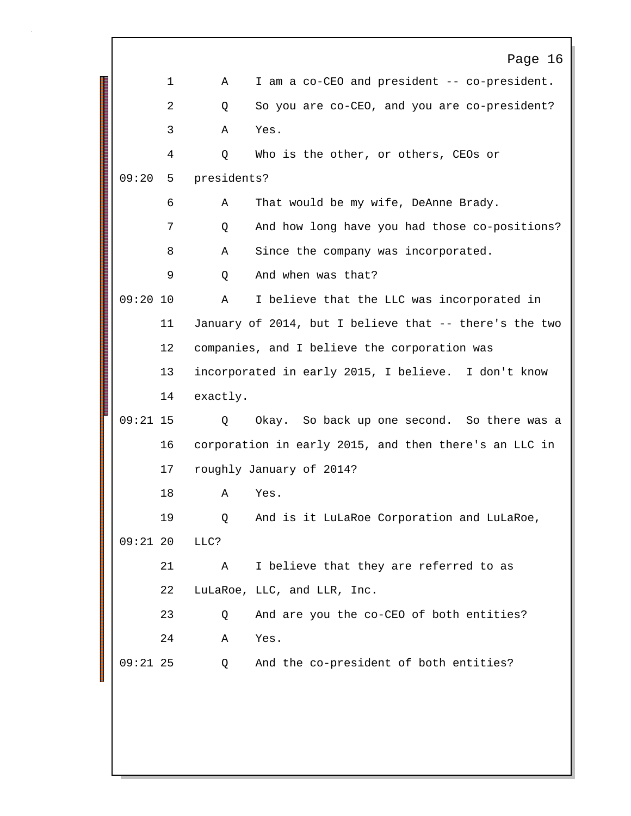|            |    |             | Page 16                                                |
|------------|----|-------------|--------------------------------------------------------|
|            | 1  | Α           | I am a co-CEO and president -- co-president.           |
|            | 2  | Q           | So you are co-CEO, and you are co-president?           |
|            | 3  | A           | Yes.                                                   |
|            | 4  | Q           | Who is the other, or others, CEOs or                   |
| 09:20      | 5  | presidents? |                                                        |
|            | 6  | A           | That would be my wife, DeAnne Brady.                   |
|            | 7  | Q           | And how long have you had those co-positions?          |
|            | 8  | Α           | Since the company was incorporated.                    |
|            | 9  | Q           | And when was that?                                     |
| $09:20$ 10 |    | A           | I believe that the LLC was incorporated in             |
|            | 11 |             | January of 2014, but I believe that -- there's the two |
|            | 12 |             | companies, and I believe the corporation was           |
|            | 13 |             | incorporated in early 2015, I believe. I don't know    |
|            | 14 | exactly.    |                                                        |
| $09:21$ 15 |    | Q           | Okay. So back up one second. So there was a            |
|            | 16 |             | corporation in early 2015, and then there's an LLC in  |
|            | 17 |             | roughly January of 2014?                               |
|            | 18 | Α           | Yes.                                                   |
|            | 19 | Q           | And is it LuLaRoe Corporation and LuLaRoe,             |
| $09:21$ 20 |    | LLC?        |                                                        |
|            | 21 | Α           | I believe that they are referred to as                 |
|            | 22 |             | LuLaRoe, LLC, and LLR, Inc.                            |
|            | 23 | Q           | And are you the co-CEO of both entities?               |
|            | 24 | Α           | Yes.                                                   |
| $09:21$ 25 |    | Q           | And the co-president of both entities?                 |
|            |    |             |                                                        |
|            |    |             |                                                        |
|            |    |             |                                                        |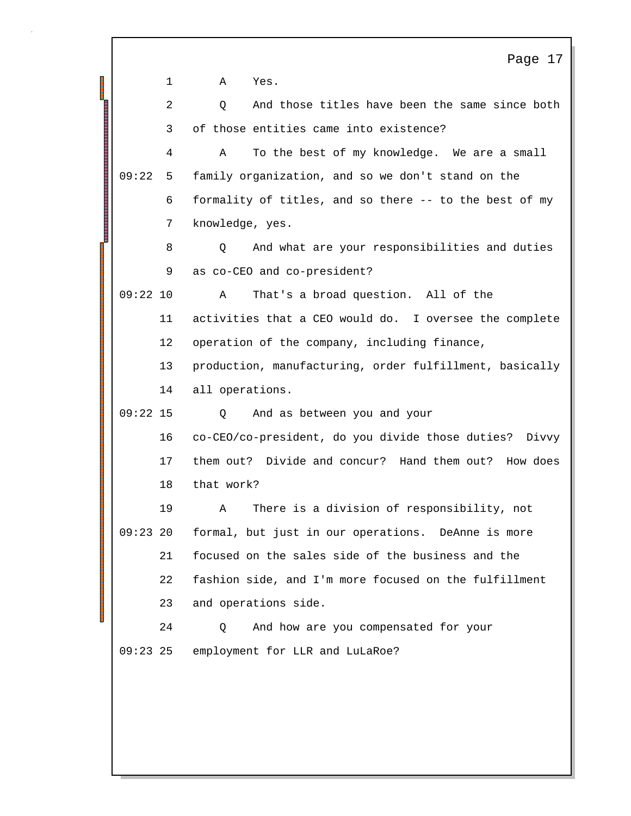|            |    | Page 17                                                    |
|------------|----|------------------------------------------------------------|
|            | 1  | Α<br>Yes.                                                  |
|            | 2  | And those titles have been the same since both<br>Q.       |
|            | 3  | of those entities came into existence?                     |
|            | 4  | To the best of my knowledge. We are a small<br>Α           |
| 09:22      | 5  | family organization, and so we don't stand on the          |
|            | 6  | formality of titles, and so there -- to the best of my     |
|            | 7  | knowledge, yes.                                            |
|            | 8  | And what are your responsibilities and duties<br>Q         |
|            | 9  | as co-CEO and co-president?                                |
| $09:22$ 10 |    | That's a broad question. All of the<br>Α                   |
|            | 11 | activities that a CEO would do. I oversee the complete     |
|            | 12 | operation of the company, including finance,               |
|            | 13 | production, manufacturing, order fulfillment, basically    |
|            | 14 | all operations.                                            |
| $09:22$ 15 |    | And as between you and your<br>Q                           |
|            | 16 | co-CEO/co-president, do you divide those duties?<br>Divvy  |
|            | 17 | them out? Divide and concur? Hand them out? How does       |
|            | 18 | that work?                                                 |
|            | 19 | There is a division of responsibility, not<br>$\mathbf{A}$ |
| $09:23$ 20 |    | formal, but just in our operations. DeAnne is more         |
|            | 21 | focused on the sales side of the business and the          |
|            | 22 | fashion side, and I'm more focused on the fulfillment      |
|            | 23 | and operations side.                                       |
|            | 24 | And how are you compensated for your<br>Q                  |
| $09:23$ 25 |    | employment for LLR and LuLaRoe?                            |
|            |    |                                                            |
|            |    |                                                            |
|            |    |                                                            |

 $\Gamma$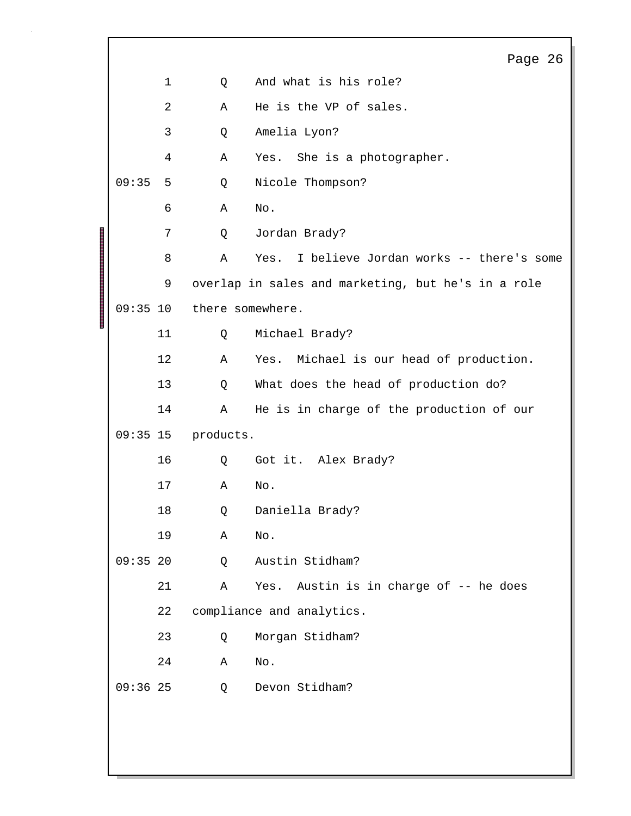|  |            |             |                  | Page 26                                            |
|--|------------|-------------|------------------|----------------------------------------------------|
|  |            | $\mathbf 1$ | Q                | And what is his role?                              |
|  |            | 2           | Α                | He is the VP of sales.                             |
|  |            | 3           | Q                | Amelia Lyon?                                       |
|  |            | 4           | Α                | Yes. She is a photographer.                        |
|  | 09:35      | 5           | Q                | Nicole Thompson?                                   |
|  |            | 6           | Α                | $\rm No$ .                                         |
|  |            | 7           | Q                | Jordan Brady?                                      |
|  |            | 8           | Α                | I believe Jordan works -- there's some<br>Yes.     |
|  |            | 9           |                  | overlap in sales and marketing, but he's in a role |
|  | $09:35$ 10 |             | there somewhere. |                                                    |
|  |            | 11          | Q                | Michael Brady?                                     |
|  |            | 12          | Α                | Yes. Michael is our head of production.            |
|  |            | 13          | Q                | What does the head of production do?               |
|  |            | 14          | Α                | He is in charge of the production of our           |
|  | $09:35$ 15 |             | products.        |                                                    |
|  |            | 16          | Q                | Got it. Alex Brady?                                |
|  |            | 17          | Α                | No.                                                |
|  |            | 18          | Q                | Daniella Brady?                                    |
|  |            | 19          | Α                | No.                                                |
|  | $09:35$ 20 |             | Q                | Austin Stidham?                                    |
|  |            | 21          | Α                | Yes. Austin is in charge of -- he does             |
|  |            | 22          |                  | compliance and analytics.                          |
|  |            | 23          | Q                | Morgan Stidham?                                    |
|  |            | 24          | Α                | No.                                                |
|  | $09:36$ 25 |             | Q                | Devon Stidham?                                     |
|  |            |             |                  |                                                    |
|  |            |             |                  |                                                    |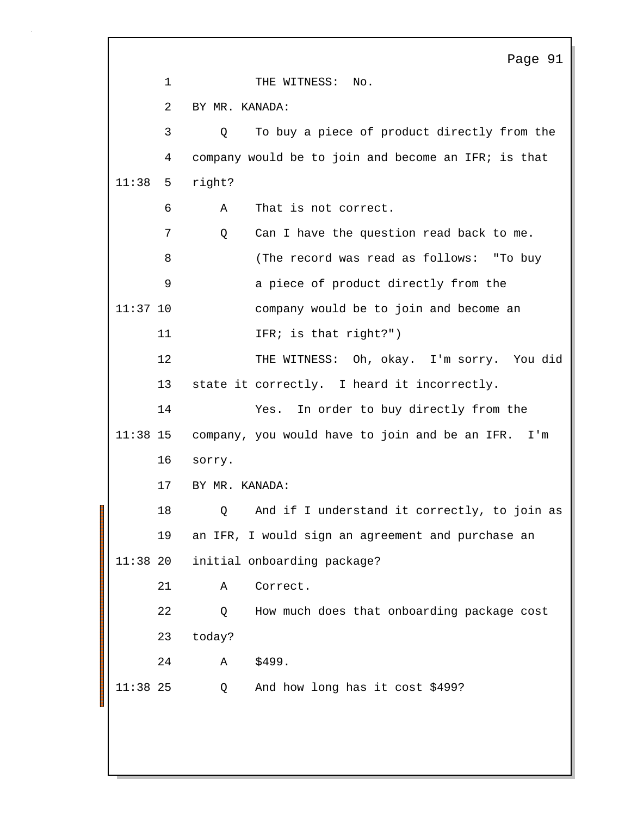Page 91 1 THE WITNESS: No. 2 BY MR. KANADA: 3 Q To buy a piece of product directly from the 4 company would be to join and become an IFR; is that  $11:38$  5 right? 6 A That is not correct. 7 Q Can I have the question read back to me. 8 (The record was read as follows: "To buy 9 a piece of product directly from the 11:37 10 company would be to join and become an 11 IFR; is that right?") 12 THE WITNESS: Oh, okay. I'm sorry. You did 13 state it correctly. I heard it incorrectly. 14 Yes. In order to buy directly from the 11:38 15 company, you would have to join and be an IFR. I'm 16 sorry. 17 BY MR. KANADA: 18 Q And if I understand it correctly, to join as 19 an IFR, I would sign an agreement and purchase an 11:38 20 initial onboarding package? 21 A Correct. 22 Q How much does that onboarding package cost 23 today? 24 A \$499. 11:38 Q And how long has it cost \$499? 25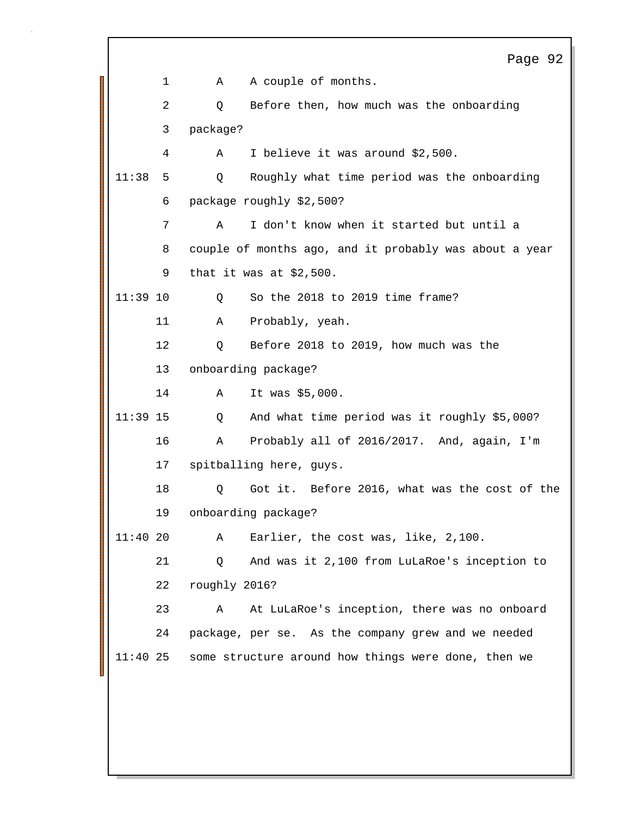Page 92 1 A A couple of months. 2 Q Before then, how much was the onboarding 3 package? 4 A I believe it was around \$2,500. 511:38 Q Roughly what time period was the onboarding 6 package roughly \$2,500? 7 A I don't know when it started but until a 8 couple of months ago, and it probably was about a year 9 that it was at \$2,500. 11:39 10 0 So the 2018 to 2019 time frame? 11 A Probably, yeah. 12 Q Before 2018 to 2019, how much was the 13 onboarding package? 14 A It was \$5,000. 11:39 15 Q And what time period was it roughly \$5,000? 16 A Probably all of 2016/2017. And, again, I'm 17 spitballing here, guys. 18 Q Got it. Before 2016, what was the cost of the 19 onboarding package? 11:40 20 A Earlier, the cost was, like, 2,100. 21 Q And was it 2,100 from LuLaRoe's inception to 22 roughly 2016? 23 A At LuLaRoe's inception, there was no onboard 24 package, per se. As the company grew and we needed 11:40 25 some structure around how things were done, then we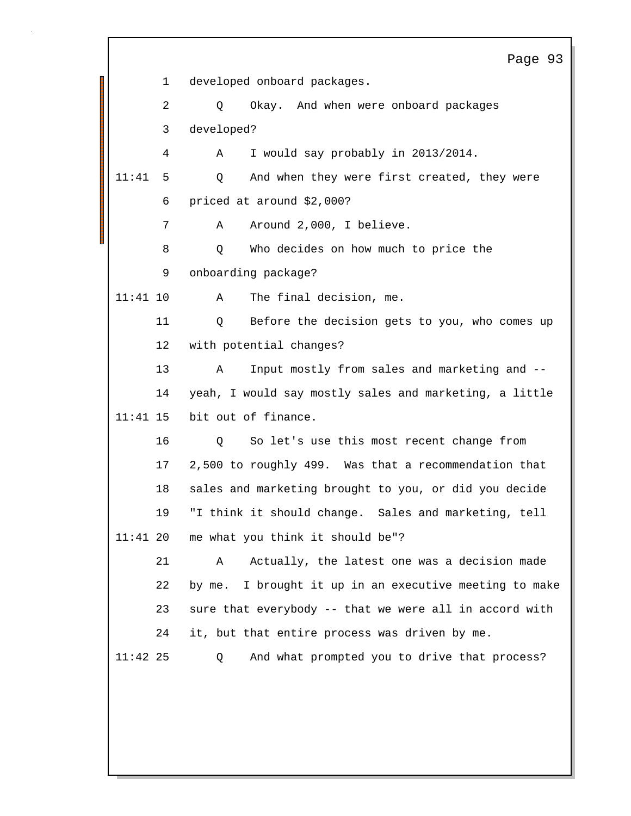|            |              | Page 93                                                   |
|------------|--------------|-----------------------------------------------------------|
|            | $\mathbf{1}$ | developed onboard packages.                               |
|            | 2            | Okay. And when were onboard packages<br>Q                 |
|            | 3            | developed?                                                |
|            | 4            | I would say probably in 2013/2014.<br>Α                   |
| 11:41      | 5            | And when they were first created, they were<br>Q          |
|            | 6            | priced at around \$2,000?                                 |
|            | 7            | Around 2,000, I believe.<br>Α                             |
|            | 8            | Who decides on how much to price the<br>Q                 |
|            | 9            | onboarding package?                                       |
| $11:41$ 10 |              | The final decision, me.<br>Α                              |
| 11         |              | Before the decision gets to you, who comes up<br>Q        |
| 12         |              | with potential changes?                                   |
| 13         |              | Input mostly from sales and marketing and --<br>Α         |
| 14         |              | yeah, I would say mostly sales and marketing, a little    |
| $11:41$ 15 |              | bit out of finance.                                       |
| 16         |              | So let's use this most recent change from<br>Q            |
| 17         |              | 2,500 to roughly 499. Was that a recommendation that      |
| 18         |              | sales and marketing brought to you, or did you decide     |
| 19         |              | "I think it should change. Sales and marketing, tell      |
| $11:41$ 20 |              | me what you think it should be"?                          |
| 21         |              | Actually, the latest one was a decision made<br>Α         |
| 22         |              | I brought it up in an executive meeting to make<br>by me. |
| 23         |              | sure that everybody -- that we were all in accord with    |
| 24         |              | it, but that entire process was driven by me.             |
| $11:42$ 25 |              | And what prompted you to drive that process?<br>Q         |
|            |              |                                                           |
|            |              |                                                           |
|            |              |                                                           |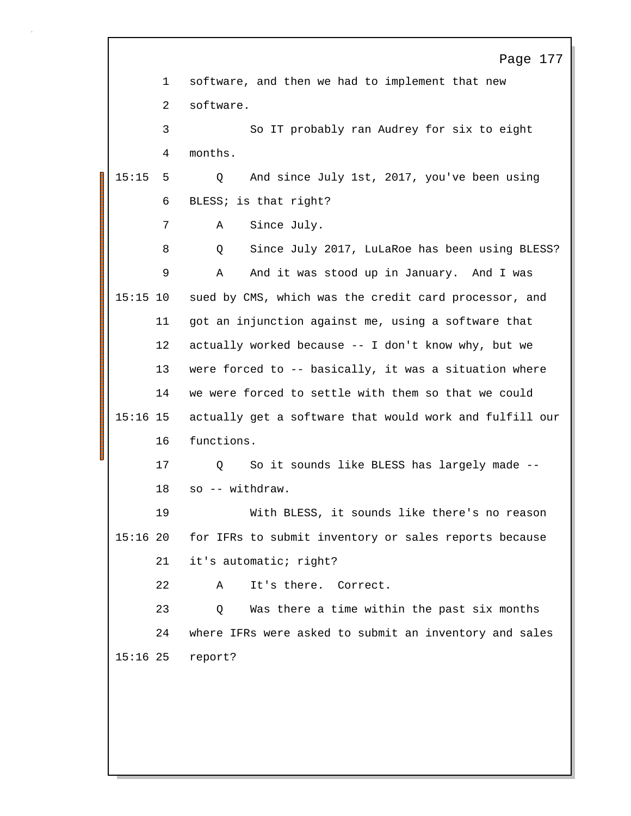|            |             | Page 177                                                |
|------------|-------------|---------------------------------------------------------|
|            | $\mathbf 1$ | software, and then we had to implement that new         |
|            | 2           | software.                                               |
|            | 3           | So IT probably ran Audrey for six to eight              |
|            | 4           | months.                                                 |
| 15:15      | 5           | And since July 1st, 2017, you've been using<br>Q        |
|            | 6           | BLESS; is that right?                                   |
|            | 7           | Since July.<br>Α                                        |
|            | 8           | Since July 2017, LuLaRoe has been using BLESS?<br>Q     |
|            | 9           | And it was stood up in January. And I was<br>Α          |
| $15:15$ 10 |             | sued by CMS, which was the credit card processor, and   |
|            | 11          | got an injunction against me, using a software that     |
|            | 12          | actually worked because -- I don't know why, but we     |
|            | 13          | were forced to -- basically, it was a situation where   |
|            | 14          | we were forced to settle with them so that we could     |
| $15:16$ 15 |             | actually get a software that would work and fulfill our |
|            | 16          | functions.                                              |
|            | 17          | So it sounds like BLESS has largely made --<br>Q        |
|            | 18          | so -- withdraw.                                         |
|            | 19          | With BLESS, it sounds like there's no reason            |
| 15:1620    |             | for IFRs to submit inventory or sales reports because   |
|            | 21          | it's automatic; right?                                  |
|            | 22          | It's there. Correct.<br>Α                               |
|            | 23          | Was there a time within the past six months<br>Q        |
|            | 24          | where IFRs were asked to submit an inventory and sales  |
| $15:16$ 25 |             | report?                                                 |
|            |             |                                                         |
|            |             |                                                         |

1

 $\Gamma$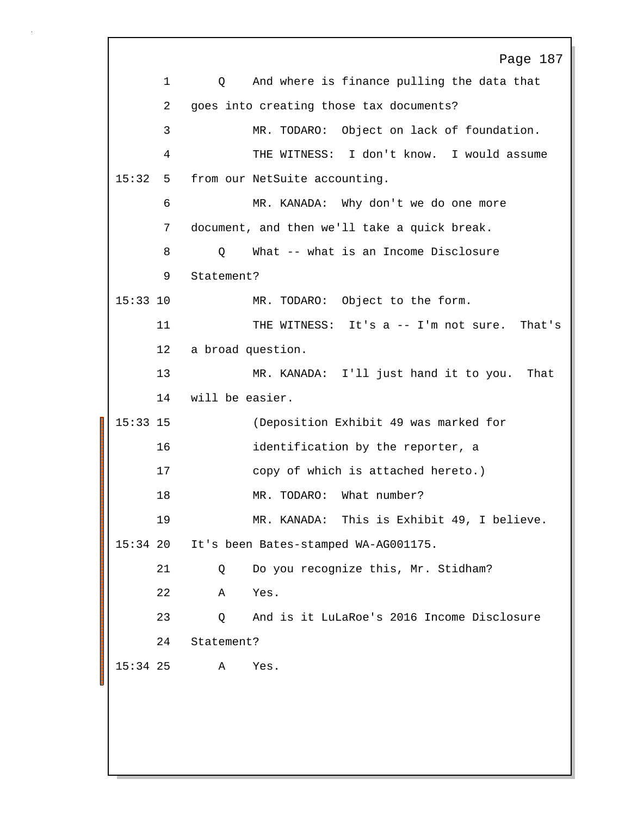|             | Page 187                                        |
|-------------|-------------------------------------------------|
| $\mathbf 1$ | And where is finance pulling the data that<br>Q |
| 2           | goes into creating those tax documents?         |
| 3           | MR. TODARO: Object on lack of foundation.       |
| 4           | THE WITNESS: I don't know. I would assume       |
| 15:32<br>5  | from our NetSuite accounting.                   |
| 6           | MR. KANADA: Why don't we do one more            |
| 7           | document, and then we'll take a quick break.    |
| 8           | What -- what is an Income Disclosure<br>Q       |
| 9           | Statement?                                      |
| $15:33$ 10  | MR. TODARO: Object to the form.                 |
| 11          | THE WITNESS: It's a -- I'm not sure. That's     |
| 12          | a broad question.                               |
| 13          | MR. KANADA: I'll just hand it to you.<br>That   |
| 14          | will be easier.                                 |
| $15:33$ 15  | (Deposition Exhibit 49 was marked for           |
| 16          | identification by the reporter, a               |
| 17          | copy of which is attached hereto.)              |
| 18          | What number?<br>MR. TODARO:                     |
| 19          | This is Exhibit 49, I believe.<br>MR. KANADA:   |
| $15:34$ 20  | It's been Bates-stamped WA-AG001175.            |
| 21          | Do you recognize this, Mr. Stidham?<br>Q        |
| 22          | Yes.<br>Α                                       |
| 23          | And is it LuLaRoe's 2016 Income Disclosure<br>Q |
| 24          | Statement?                                      |
| $15:34$ 25  | Α<br>Yes.                                       |
|             |                                                 |
|             |                                                 |
|             |                                                 |
|             |                                                 |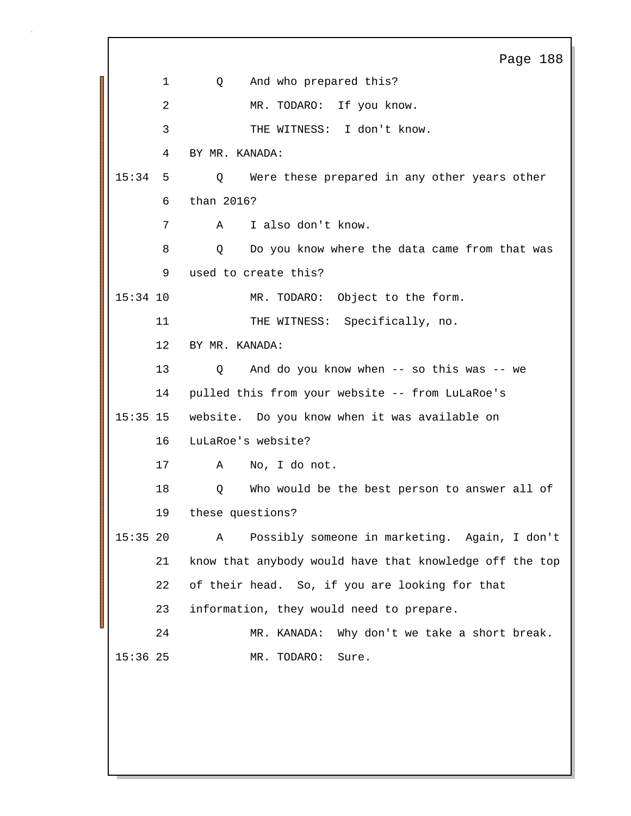Page 188 1 Q And who prepared this? 2 MR. TODARO: If you know. 3 THE WITNESS: I don't know. 4 BY MR. KANADA: 515:34 Q Were these prepared in any other years other 6 than 2016? 7 A I also don't know. 8 Q Do you know where the data came from that was 9 used to create this? 15:34 10 MR. TODARO: Object to the form. 11 THE WITNESS: Specifically, no. 12 BY MR. KANADA: 13 Q And do you know when -- so this was -- we 14 pulled this from your website -- from LuLaRoe's 1515:35 website. Do you know when it was available on 16 LuLaRoe's website? 17 A No, I do not. 18 Q Who would be the best person to answer all of 19 these questions? 2015:35 A Possibly someone in marketing. Again, I don't 21 know that anybody would have that knowledge off the top 22 of their head. So, if you are looking for that 23 information, they would need to prepare. 24 MR. KANADA: Why don't we take a short break. 15:36 25 MR. TODARO: Sure.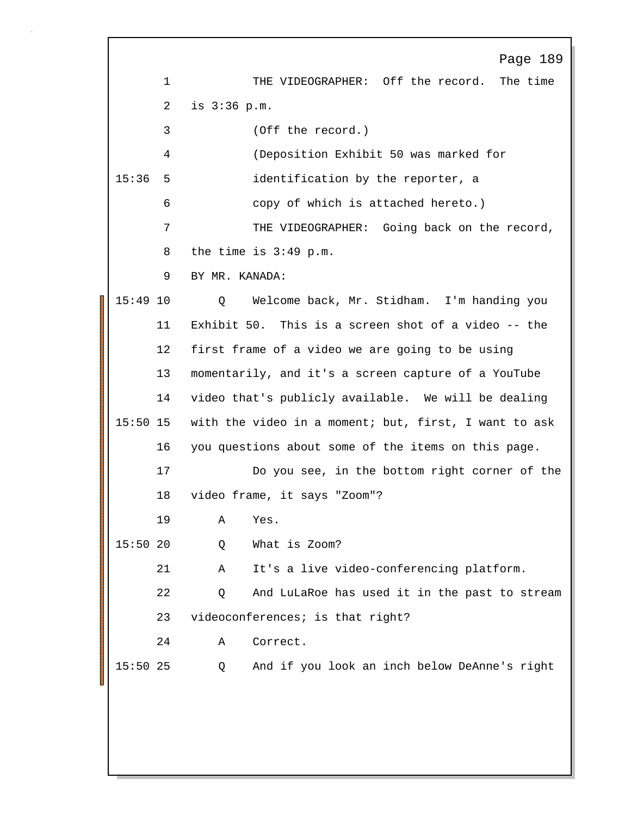Page 189 1 THE VIDEOGRAPHER: Off the record. The time 2 is 3:36 p.m. 3 (Off the record.) 4 (Deposition Exhibit 50 was marked for 15:36 5 identification by the reporter, a 6 copy of which is attached hereto.) 7 THE VIDEOGRAPHER: Going back on the record, 8 the time is 3:49 p.m. 9 BY MR. KANADA: 15:49 Q Welcome back, Mr. Stidham. I'm handing you 10 11 Exhibit 50. This is a screen shot of a video -- the 12 first frame of a video we are going to be using 13 momentarily, and it's a screen capture of a YouTube 14 video that's publicly available. We will be dealing 15:50 15 with the video in a moment; but, first, I want to ask 16 you questions about some of the items on this page. 17 Do you see, in the bottom right corner of the 18 video frame, it says "Zoom"? 19 A Yes. 15:50 Q What is Zoom? 20 21 A It's a live video-conferencing platform. 22 Q And LuLaRoe has used it in the past to stream 23 videoconferences; is that right? 24 A Correct. 15:50 Q And if you look an inch below DeAnne's right 25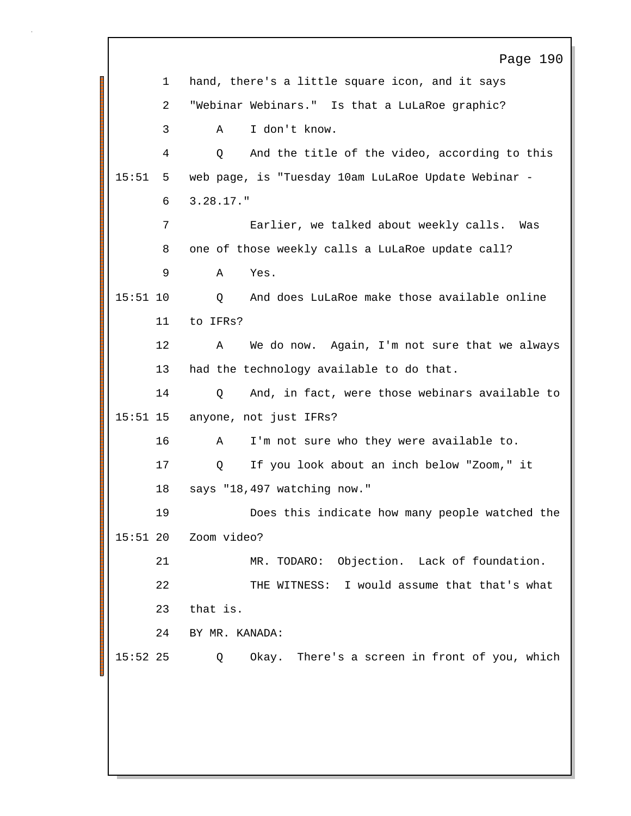Page 190 1 hand, there's a little square icon, and it says 2 "Webinar Webinars." Is that a LuLaRoe graphic? 3 A I don't know. 4 Q And the title of the video, according to this 515:51 web page, is "Tuesday 10am LuLaRoe Update Webinar - 6 3.28.17." 7 Earlier, we talked about weekly calls. Was 8 one of those weekly calls a LuLaRoe update call? 9 A Yes. 15:51 10 0 And does LuLaRoe make those available online 11 to IFRs? 12 A We do now. Again, I'm not sure that we always 13 had the technology available to do that. 14 Q And, in fact, were those webinars available to 15:51 15 anyone, not just IFRs? 16 A I'm not sure who they were available to. 17 Q If you look about an inch below "Zoom," it 18 says "18,497 watching now." 19 Does this indicate how many people watched the 15:51 20 Zoom video? 21 MR. TODARO: Objection. Lack of foundation. 22 THE WITNESS: I would assume that that's what 23 that is. 24 BY MR. KANADA: 15:52 25 Q Okay. There's a screen in front of you, which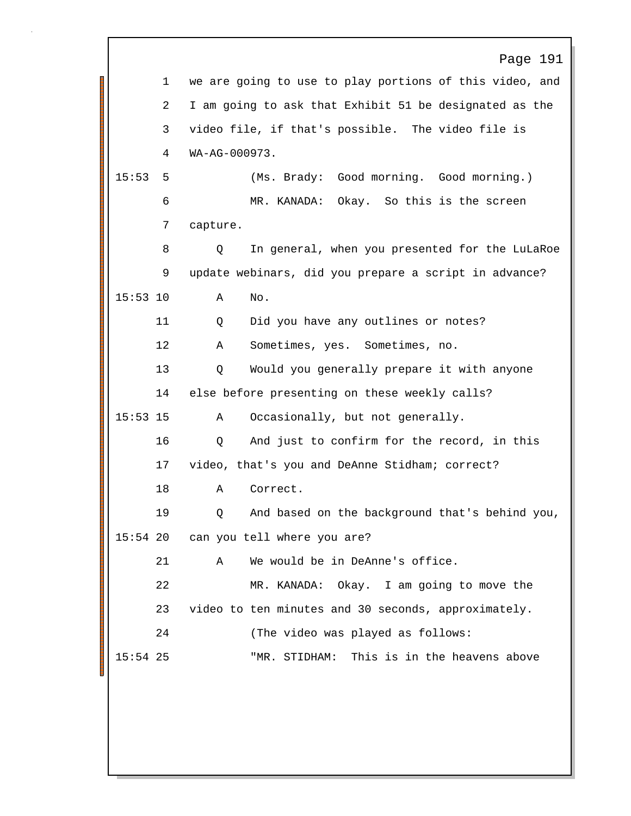|       | Page 191                                                                                     |
|-------|----------------------------------------------------------------------------------------------|
|       | we are going to use to play portions of this video, and                                      |
|       | I am going to ask that Exhibit 51 be designated as the                                       |
|       | video file, if that's possible. The video file is                                            |
|       | WA-AG-000973.                                                                                |
|       | (Ms. Brady: Good morning. Good morning.)                                                     |
|       | MR. KANADA: Okay. So this is the screen                                                      |
| 7     | capture.                                                                                     |
| 8     | In general, when you presented for the LuLaRoe<br>Q                                          |
| 9     | update webinars, did you prepare a script in advance?                                        |
|       | Α<br>No.                                                                                     |
| 11    | Did you have any outlines or notes?<br>Q                                                     |
| 12    | Sometimes, yes. Sometimes, no.<br>Α                                                          |
| 13    | Would you generally prepare it with anyone<br>Q                                              |
| 14    | else before presenting on these weekly calls?                                                |
|       | Occasionally, but not generally.<br>Α                                                        |
| 16    | And just to confirm for the record, in this<br>Q                                             |
| 17    | video, that's you and DeAnne Stidham; correct?                                               |
| 18    | Correct.<br>Α                                                                                |
| 19    | And based on the background that's behind you,<br>Q                                          |
|       | can you tell where you are?                                                                  |
| 21    | We would be in DeAnne's office.<br>Α                                                         |
| 22    | MR. KANADA: Okay. I am going to move the                                                     |
| 23    | video to ten minutes and 30 seconds, approximately.                                          |
| 24    | (The video was played as follows:                                                            |
|       | This is in the heavens above<br>"MR. STIDHAM:                                                |
|       |                                                                                              |
|       |                                                                                              |
|       |                                                                                              |
|       |                                                                                              |
| 15:53 | $\mathbf 1$<br>2<br>3<br>4<br>5<br>6<br>$15:53$ 10<br>$15:53$ 15<br>$15:54$ 20<br>$15:54$ 25 |

l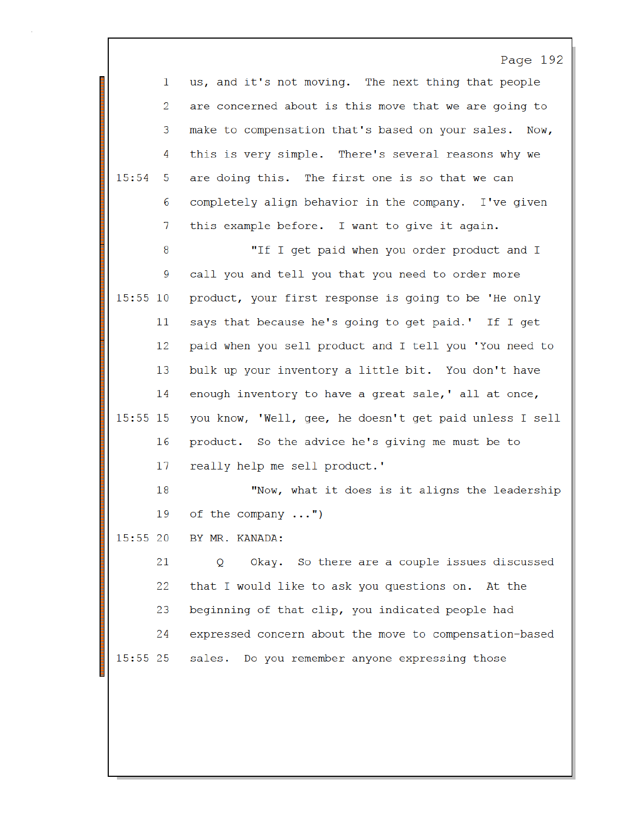|          |    | Page 192                                                |
|----------|----|---------------------------------------------------------|
|          | 1  | us, and it's not moving. The next thing that people     |
|          | 2  | are concerned about is this move that we are going to   |
|          | 3  | make to compensation that's based on your sales. Now,   |
|          | 4  | this is very simple. There's several reasons why we     |
| 15:54    | 5  | are doing this. The first one is so that we can         |
|          | 6  | completely align behavior in the company. I've given    |
|          | 7  | this example before. I want to give it again.           |
|          | 8  | "If I get paid when you order product and I             |
|          | 9  | call you and tell you that you need to order more       |
| 15:55 10 |    | product, your first response is going to be 'He only    |
|          | 11 | says that because he's going to get paid.' If I get     |
|          | 12 | paid when you sell product and I tell you 'You need to  |
|          | 13 | bulk up your inventory a little bit. You don't have     |
|          | 14 | enough inventory to have a great sale, ' all at once,   |
| 15:55 15 |    | you know, 'Well, gee, he doesn't get paid unless I sell |
|          | 16 | product. So the advice he's giving me must be to        |
|          | 17 | really help me sell product.'                           |
|          | 18 | "Now, what it does is it aligns the leadership          |
|          | 19 | of the company<br>$^{\prime\prime}$                     |
| 15:55 20 |    | BY MR. KANADA:                                          |
|          | 21 | Okay. So there are a couple issues discussed<br>Q       |
|          | 22 | that I would like to ask you questions on. At the       |
|          | 23 | beginning of that clip, you indicated people had        |
|          | 24 | expressed concern about the move to compensation-based  |
| 15:55 25 |    | sales. Do you remember anyone expressing those          |
|          |    |                                                         |
|          |    |                                                         |

I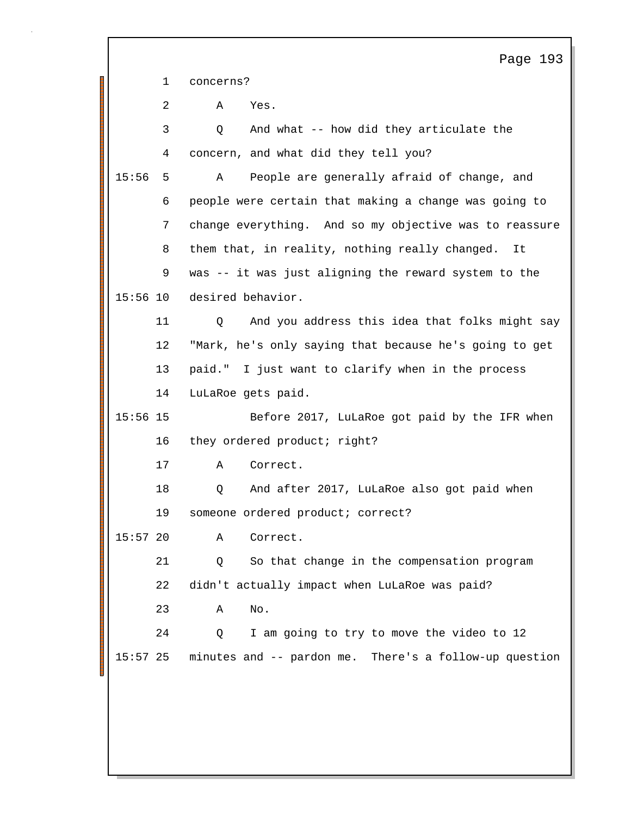Page 193 1 concerns? 2 A Yes. 3 Q And what -- how did they articulate the 4 concern, and what did they tell you? 15:56 5 A People are generally afraid of change, and 6 people were certain that making a change was going to 7 change everything. And so my objective was to reassure 8 them that, in reality, nothing really changed. It 9 was -- it was just aligning the reward system to the 15:56 10 desired behavior. 11 Q And you address this idea that folks might say 12 "Mark, he's only saying that because he's going to get 13 paid." I just want to clarify when in the process 14 LuLaRoe gets paid. 1515:56 Before 2017, LuLaRoe got paid by the IFR when 16 they ordered product; right? 17 A Correct. 18 Q And after 2017, LuLaRoe also got paid when 19 someone ordered product; correct? 15:57 20 A Correct. 21 Q So that change in the compensation program 22 didn't actually impact when LuLaRoe was paid? 23 A No. 24 Q I am going to try to move the video to 12 15:57 25 minutes and -- pardon me. There's a follow-up question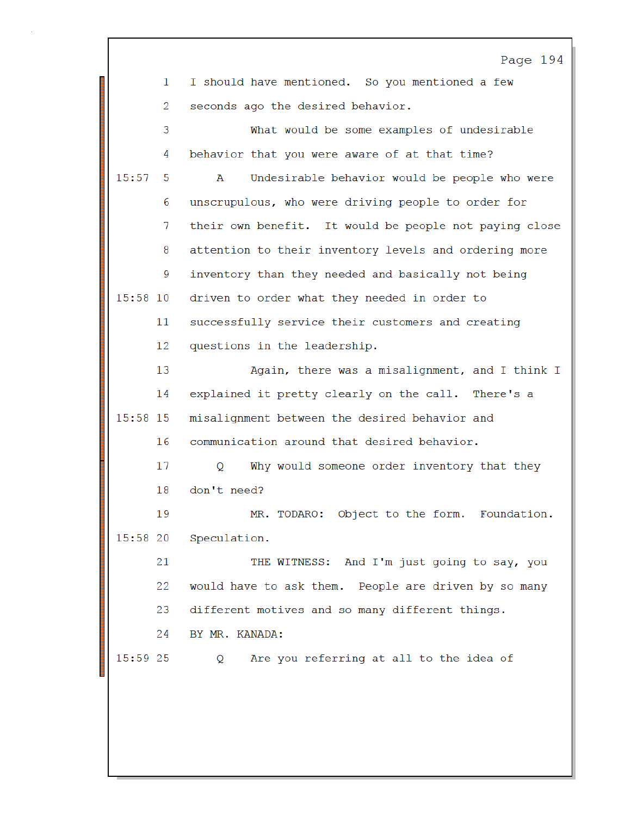|            | Page 194                                                     |
|------------|--------------------------------------------------------------|
| 1          | I should have mentioned. So you mentioned a few              |
| 2          | seconds ago the desired behavior.                            |
| 3          | What would be some examples of undesirable                   |
| 4          | behavior that you were aware of at that time?                |
| 15:57<br>5 | Undesirable behavior would be people who were<br>A           |
| 6          | unscrupulous, who were driving people to order for           |
| 7          | their own benefit. It would be people not paying close       |
| 8          | attention to their inventory levels and ordering more        |
| 9          | inventory than they needed and basically not being           |
| $15:58$ 10 | driven to order what they needed in order to                 |
| 11         | successfully service their customers and creating            |
| 12         | questions in the leadership.                                 |
| 13         | Again, there was a misalignment, and I think I               |
| 14         | explained it pretty clearly on the call. There's a           |
| 15:58 15   | misalignment between the desired behavior and                |
| 16         | communication around that desired behavior.                  |
| 17         | Why would someone order inventory that they<br>Q.            |
| 18         | don't need?                                                  |
| 19         | MR. TODARO: Object to the form. Foundation                   |
| 15:58 20   | Speculation.                                                 |
| 21         | THE WITNESS: And I'm just going to say, you                  |
| 22         | would have to ask them. People are driven by so many         |
| 23         | different motives and so many different things.              |
| 24         | BY MR. KANADA:                                               |
| 15:59 25   | Are you referring at all to the idea of<br>$Q \qquad \qquad$ |
|            |                                                              |
|            |                                                              |
|            |                                                              |

I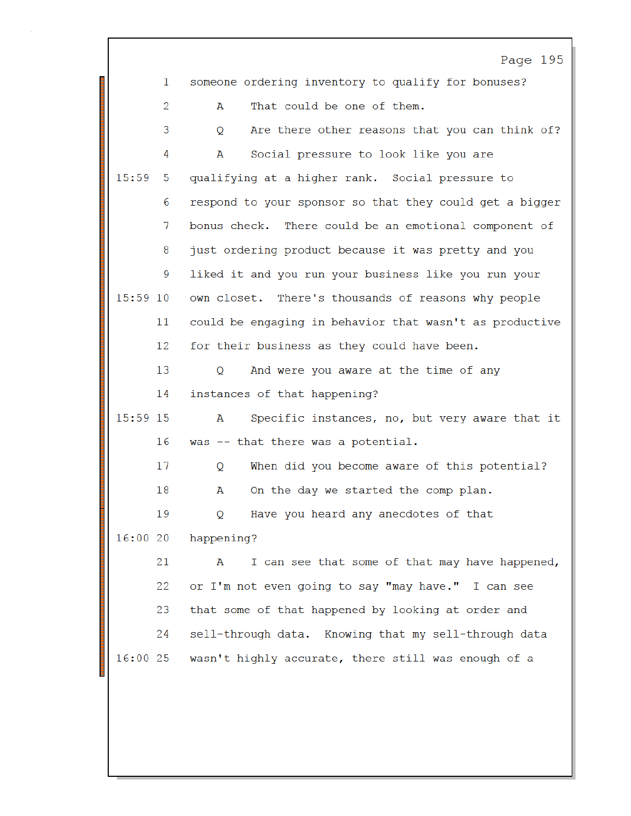|            | Page 195                                                |
|------------|---------------------------------------------------------|
| 1          | someone ordering inventory to qualify for bonuses?      |
| 2          | That could be one of them.<br>A                         |
| 3          | Are there other reasons that you can think of?<br>Q     |
| 4          | Social pressure to look like you are<br>A               |
| 15:59<br>5 | qualifying at a higher rank. Social pressure to         |
| 6          | respond to your sponsor so that they could get a bigger |
| 7          | bonus check. There could be an emotional component of   |
| 8          | just ordering product because it was pretty and you     |
| 9          | liked it and you run your business like you run your    |
| $15:59$ 10 | own closet. There's thousands of reasons why people     |
| 11         | could be engaging in behavior that wasn't as productive |
| 12         | for their business as they could have been.             |
| 13         | And were you aware at the time of any<br>Q              |
| 14         | instances of that happening?                            |
| 15:59 15   | Specific instances, no, but very aware that it<br>A     |
| 16         | was -- that there was a potential.                      |
| 17         | When did you become aware of this potential?<br>Q       |
| 18         | On the day we started the comp plan.<br>A               |
| 19         | Have you heard any anecdotes of that<br>Q               |
| 16:00 20   | happening?                                              |
| 21         | I can see that some of that may have happened,<br>A     |
| 22         | or I'm not even going to say "may have." I can see      |
| 23         | that some of that happened by looking at order and      |
| 24         | sell-through data. Knowing that my sell-through data    |
| 16:0025    | wasn't highly accurate, there still was enough of a     |
|            |                                                         |
|            |                                                         |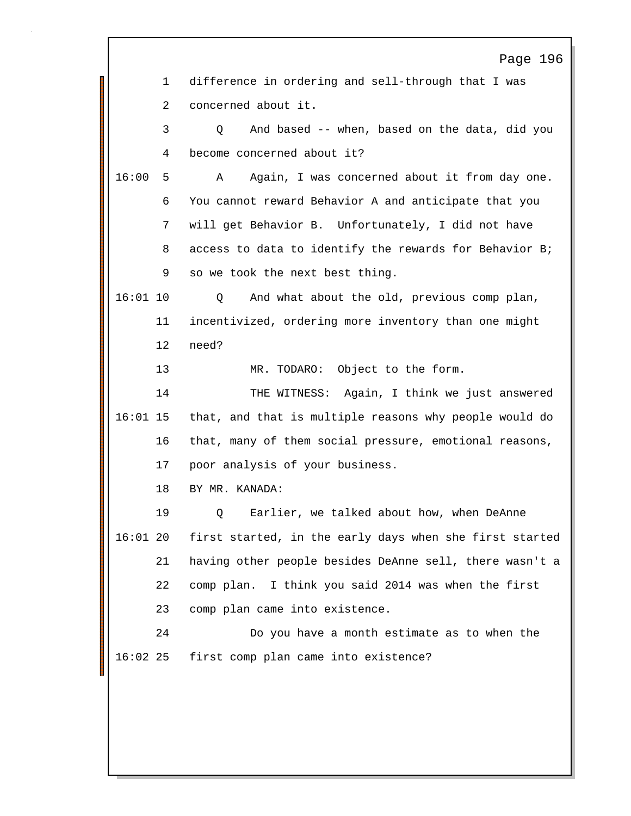|            |    | Page 196                                                |
|------------|----|---------------------------------------------------------|
|            | 1  | difference in ordering and sell-through that I was      |
|            | 2  | concerned about it.                                     |
|            | 3  | And based -- when, based on the data, did you<br>O      |
|            | 4  | become concerned about it?                              |
| 16:00      | 5  | Again, I was concerned about it from day one.<br>A      |
|            | 6  | You cannot reward Behavior A and anticipate that you    |
|            | 7  | will get Behavior B. Unfortunately, I did not have      |
|            | 8  | access to data to identify the rewards for Behavior B;  |
|            | 9  | so we took the next best thing.                         |
| $16:01$ 10 |    | And what about the old, previous comp plan,<br>Q        |
|            | 11 | incentivized, ordering more inventory than one might    |
|            | 12 | need?                                                   |
|            | 13 | MR. TODARO: Object to the form.                         |
|            | 14 | THE WITNESS: Again, I think we just answered            |
| $16:01$ 15 |    | that, and that is multiple reasons why people would do  |
|            | 16 | that, many of them social pressure, emotional reasons,  |
|            | 17 | poor analysis of your business.                         |
|            | 18 | BY MR. KANADA:                                          |
|            | 19 | Earlier, we talked about how, when DeAnne<br>Q          |
| $16:01$ 20 |    | first started, in the early days when she first started |
|            | 21 | having other people besides DeAnne sell, there wasn't a |
|            | 22 | comp plan. I think you said 2014 was when the first     |
|            | 23 | comp plan came into existence.                          |
|            | 24 | Do you have a month estimate as to when the             |
| $16:02$ 25 |    | first comp plan came into existence?                    |
|            |    |                                                         |
|            |    |                                                         |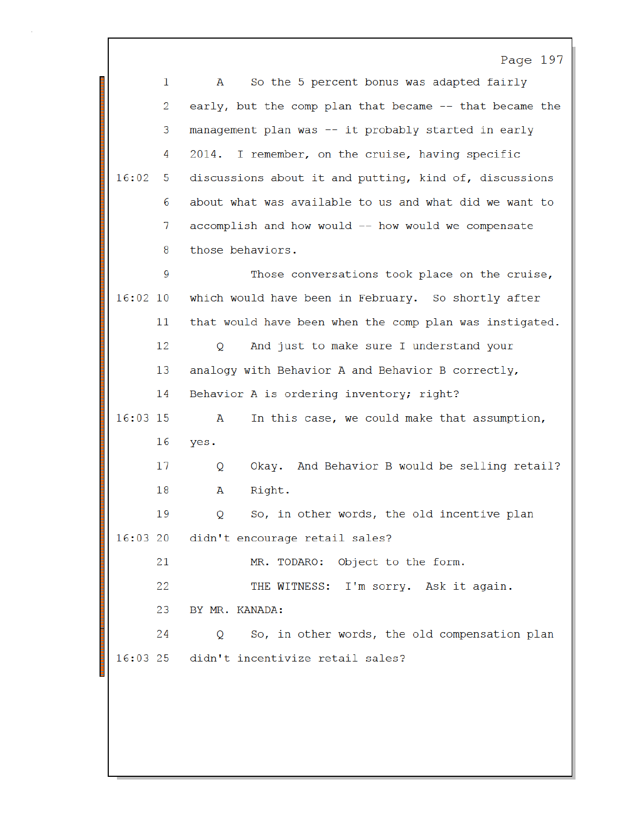Page 197 So the 5 percent bonus was adapted fairly  $\mathbf{1}$  $\mathbb A$ 2 early, but the comp plan that became -- that became the 3 management plan was -- it probably started in early 2014. I remember, on the cruise, having specific 4  $16:02$ 5 discussions about it and putting, kind of, discussions about what was available to us and what did we want to 6  $7\overline{ }$ accomplish and how would -- how would we compensate those behaviors. 8 9 Those conversations took place on the cruise,  $16:02$  10 which would have been in February. So shortly after 11 that would have been when the comp plan was instigated. And just to make sure I understand your 12  $\circ$ 13 analogy with Behavior A and Behavior B correctly, Behavior A is ordering inventory; right? 14 16:03 15 In this case, we could make that assumption, A 16 yes. Okay. And Behavior B would be selling retail? 17 Q 18 Right.  $\mathbf{A}$ 19 So, in other words, the old incentive plan Q  $16:0320$ didn't encourage retail sales? 21 MR. TODARO: Object to the form. 22 THE WITNESS: I'm sorry. Ask it again. 23 BY MR. KANADA: 24 Q So, in other words, the old compensation plan  $16:03$  25 didn't incentivize retail sales?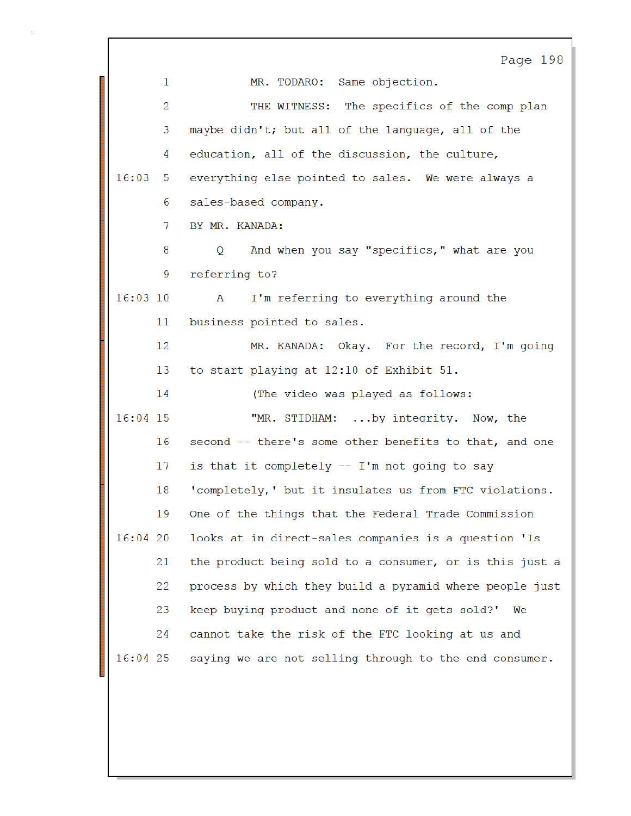|            |                | Page 198                                                |
|------------|----------------|---------------------------------------------------------|
|            | $\mathbf{1}$   | MR. TODARO: Same objection.                             |
|            | $\overline{2}$ | THE WITNESS: The specifics of the comp plan             |
|            | 3              | maybe didn't; but all of the language, all of the       |
|            | 4              | education, all of the discussion, the culture,          |
| 16:03      | 5              | everything else pointed to sales. We were always a      |
|            | 6              | sales-based company.                                    |
|            | 7              | BY MR. KANADA:                                          |
|            | 8              | And when you say "specifics," what are you<br>Q         |
|            | 9              | referring to?                                           |
| $16:03$ 10 |                | I'm referring to everything around the<br>A             |
|            | 11             | business pointed to sales.                              |
|            | 12             | MR. KANADA: Okay. For the record, I'm going             |
|            | 13             | to start playing at 12:10 of Exhibit 51.                |
|            | 14             | (The video was played as follows:                       |
| 16:04 15   |                | "MR. STIDHAM: by integrity. Now, the                    |
|            | 16             | second -- there's some other benefits to that, and one  |
|            | 17             | is that it completely -- I'm not going to say           |
|            | 18             | 'completely,' but it insulates us from FTC violations.  |
|            | 19             | One of the things that the Federal Trade Commission     |
| 16:0420    |                | looks at in direct-sales companies is a question 'Is    |
|            | 21             | the product being sold to a consumer, or is this just a |
|            | 22             | process by which they build a pyramid where people just |
|            | 23             | keep buying product and none of it gets sold?' We       |
|            | 24             | cannot take the risk of the FTC looking at us and       |
| $16:04$ 25 |                | saying we are not selling through to the end consumer.  |
|            |                |                                                         |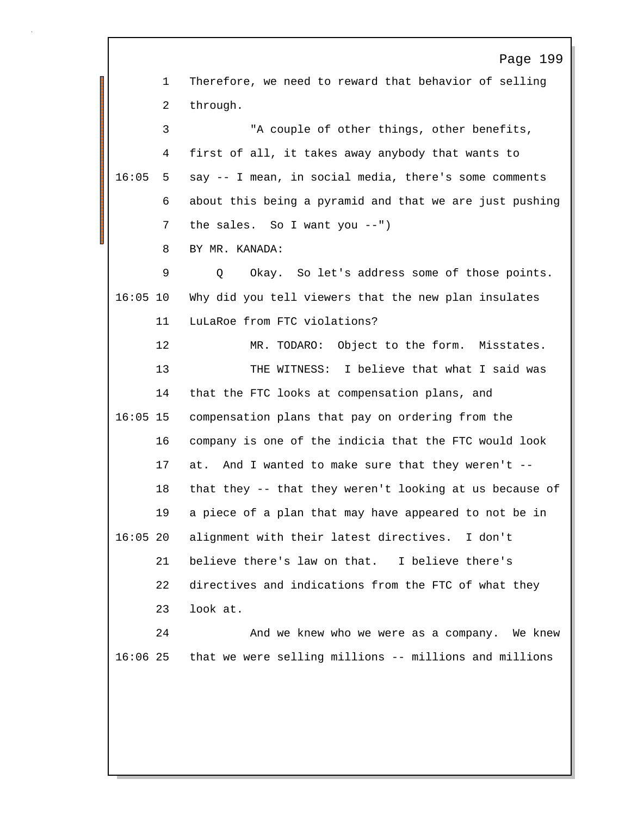Page 199 1 Therefore, we need to reward that behavior of selling 2 through. 3 "A couple of other things, other benefits, 4 first of all, it takes away anybody that wants to  $16:05$  5 say  $-$  I mean, in social media, there's some comments 6 about this being a pyramid and that we are just pushing 7 the sales. So I want you --") 8 BY MR. KANADA: 9 Q Okay. So let's address some of those points. 16:05 10 Why did you tell viewers that the new plan insulates 11 LuLaRoe from FTC violations? 12 MR. TODARO: Object to the form. Misstates. 13 THE WITNESS: I believe that what I said was 14 that the FTC looks at compensation plans, and 1516:05 compensation plans that pay on ordering from the 16 company is one of the indicia that the FTC would look 17 at. And I wanted to make sure that they weren't -- 18 that they -- that they weren't looking at us because of 19 a piece of a plan that may have appeared to not be in 2016:05 alignment with their latest directives. I don't 21 believe there's law on that. I believe there's 22 directives and indications from the FTC of what they 23 look at. 24 And we knew who we were as a company. We knew 2516:06 that we were selling millions -- millions and millions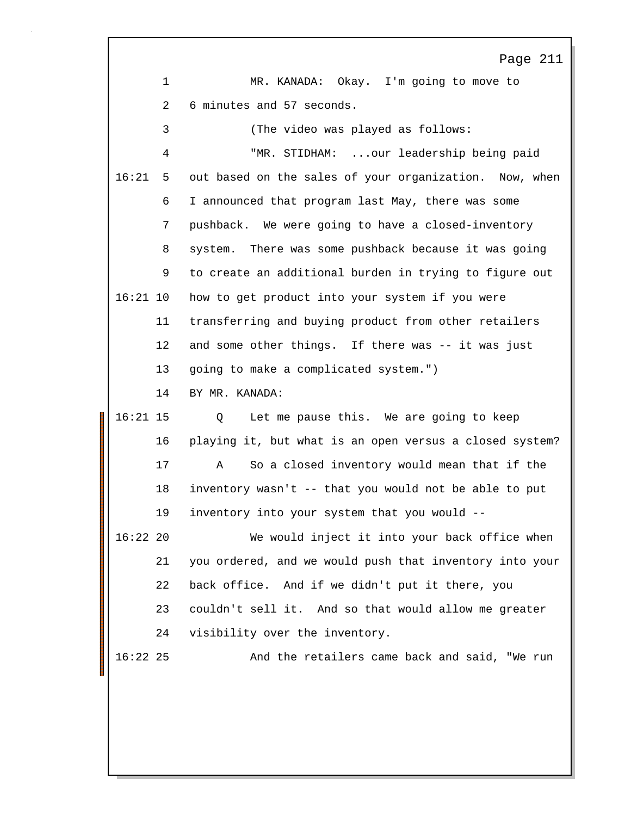|            |             | Page 211                                                |
|------------|-------------|---------------------------------------------------------|
|            | $\mathbf 1$ | MR. KANADA: Okay. I'm going to move to                  |
|            | 2           | 6 minutes and 57 seconds.                               |
|            | 3           | (The video was played as follows:                       |
|            | 4           | "MR. STIDHAM:  our leadership being paid                |
| 16:21      | 5           | out based on the sales of your organization. Now, when  |
|            | 6           | I announced that program last May, there was some       |
|            | 7           | pushback. We were going to have a closed-inventory      |
|            | 8           | system. There was some pushback because it was going    |
|            | 9           | to create an additional burden in trying to figure out  |
| $16:21$ 10 |             | how to get product into your system if you were         |
|            | 11          | transferring and buying product from other retailers    |
|            | 12          | and some other things. If there was -- it was just      |
|            | 13          | going to make a complicated system.")                   |
|            | 14          | BY MR. KANADA:                                          |
| $16:21$ 15 |             | Let me pause this. We are going to keep<br>Q            |
|            | 16          | playing it, but what is an open versus a closed system? |
|            | 17          | So a closed inventory would mean that if the<br>Α       |
|            | 18          | inventory wasn't -- that you would not be able to put   |
|            | 19          | inventory into your system that you would --            |
| $16:22$ 20 |             | We would inject it into your back office when           |
|            | 21          | you ordered, and we would push that inventory into your |
|            | 22          | back office. And if we didn't put it there, you         |
|            | 23          | couldn't sell it. And so that would allow me greater    |
|            | 24          | visibility over the inventory.                          |
| $16:22$ 25 |             | And the retailers came back and said, "We run           |
|            |             |                                                         |
|            |             |                                                         |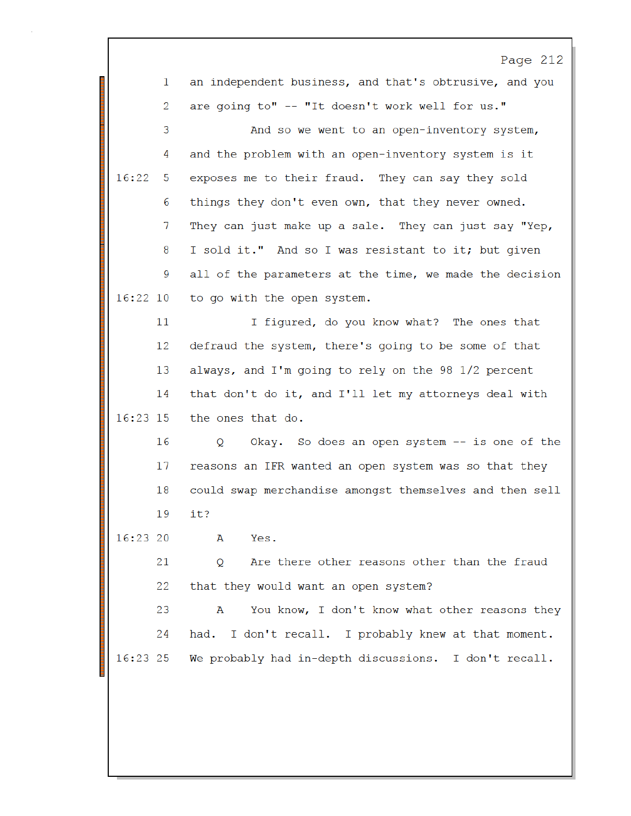|              | Page 212                                                |
|--------------|---------------------------------------------------------|
| $\mathbf{1}$ | an independent business, and that's obtrusive, and you  |
| 2            | are going to" -- "It doesn't work well for us."         |
| 3            | And so we went to an open-inventory system,             |
| 4            | and the problem with an open-inventory system is it     |
| 16:22<br>5   | exposes me to their fraud. They can say they sold       |
| 6            | things they don't even own, that they never owned.      |
| 7            | They can just make up a sale. They can just say "Yep,   |
| 8            | I sold it." And so I was resistant to it; but given     |
| 9            | all of the parameters at the time, we made the decision |
| $16:22$ 10   | to go with the open system.                             |
| 11           | I figured, do you know what? The ones that              |
| 12           | defraud the system, there's going to be some of that    |
| 13           | always, and I'm going to rely on the 98 1/2 percent     |
| 14           | that don't do it, and I'll let my attorneys deal with   |
| $16:23$ 15   | the ones that do.                                       |
| 16           | Okay. So does an open system -- is one of the<br>Q      |
| 17           | reasons an IFR wanted an open system was so that they   |
| 18           | could swap merchandise amongst themselves and then sell |
| 19           | it?                                                     |
| 16:23 20     | A<br>Yes.                                               |
| 21           | Are there other reasons other than the fraud<br>Q       |
| 22           | that they would want an open system?                    |
| 23           | You know, I don't know what other reasons they<br>A     |
| 24           | had. I don't recall. I probably knew at that moment.    |
| $16:23$ 25   | We probably had in-depth discussions. I don't recall.   |
|              |                                                         |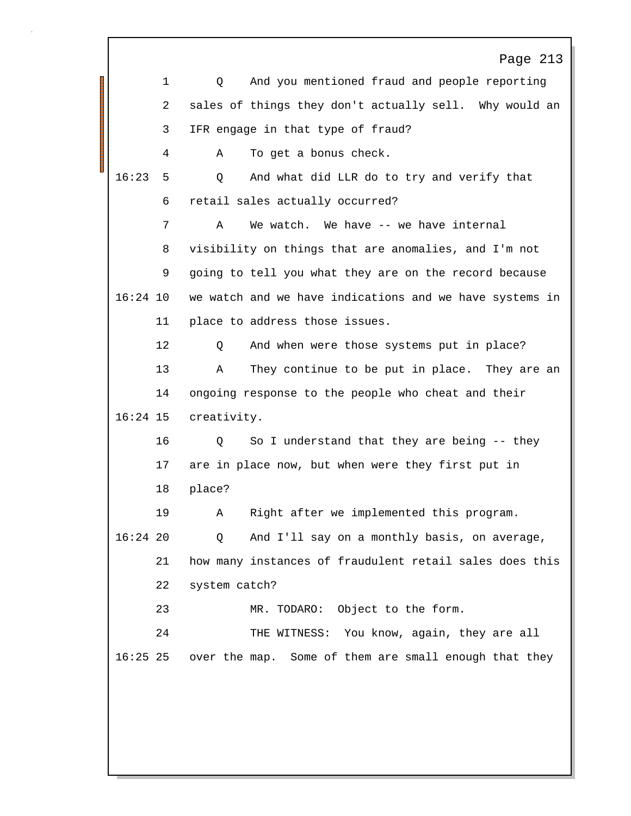Page 213 1 Q And you mentioned fraud and people reporting 2 sales of things they don't actually sell. Why would an 3 IFR engage in that type of fraud? 4 A To get a bonus check. 516:23 Q And what did LLR do to try and verify that 6 retail sales actually occurred? 7 A We watch. We have -- we have internal 8 visibility on things that are anomalies, and I'm not 9 going to tell you what they are on the record because 16:24 10 we watch and we have indications and we have systems in 11 place to address those issues. 12 Q And when were those systems put in place? 13 A They continue to be put in place. They are an 14 ongoing response to the people who cheat and their 16:24 15 creativity. 16 Q So I understand that they are being -- they 17 are in place now, but when were they first put in 18 place? 19 A Right after we implemented this program. 16:24 20 Q And I'll say on a monthly basis, on average, 21 how many instances of fraudulent retail sales does this 22 system catch? 23 MR. TODARO: Object to the form. 24 THE WITNESS: You know, again, they are all 16:25 25 over the map. Some of them are small enough that they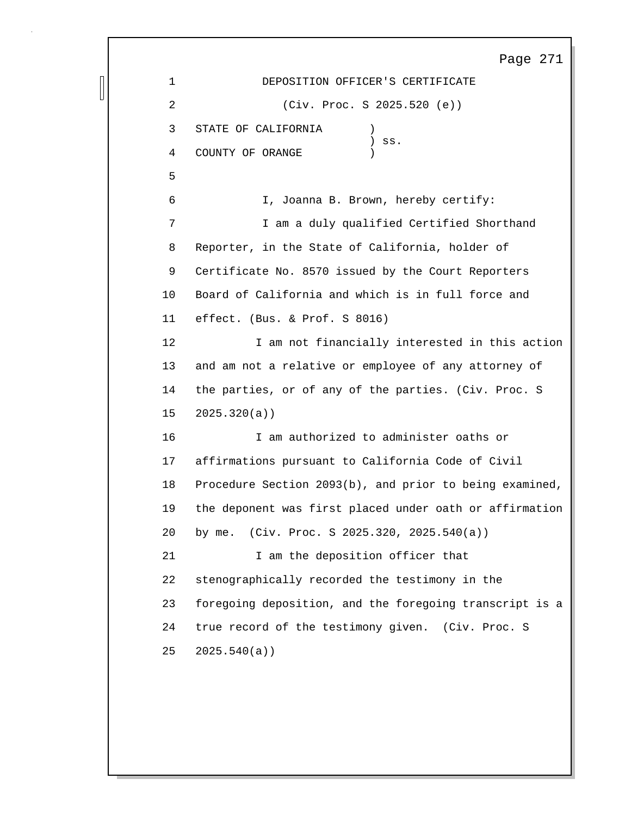Page 271 1 DEPOSITION OFFICER'S CERTIFICATE 2 (Civ. Proc. S 2025.520 (e)) 3 STATE OF CALIFORNIA ) ) ss. 4 COUNTY OF ORANGE ) 5 6 I, Joanna B. Brown, hereby certify: 7 I am a duly qualified Certified Shorthand 8 Reporter, in the State of California, holder of 9 Certificate No. 8570 issued by the Court Reporters 10 Board of California and which is in full force and 11 effect. (Bus. & Prof. S 8016) 12 I am not financially interested in this action 13 and am not a relative or employee of any attorney of 14 the parties, or of any of the parties. (Civ. Proc. S 15 2025.320(a)) 16 I am authorized to administer oaths or 17 affirmations pursuant to California Code of Civil 18 Procedure Section 2093(b), and prior to being examined, 19 the deponent was first placed under oath or affirmation 20 by me. (Civ. Proc. S 2025.320, 2025.540(a)) 21 I am the deposition officer that 22 stenographically recorded the testimony in the 23 foregoing deposition, and the foregoing transcript is a 24 true record of the testimony given. (Civ. Proc. S 25 2025.540(a))